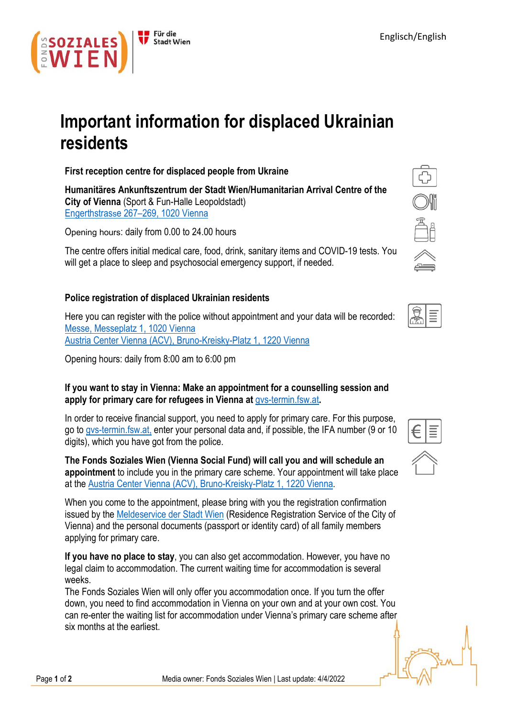

# **Important information for displaced Ukrainian residents**

**First reception centre for displaced people from Ukraine**

**Humanitäres Ankunftszentrum der Stadt Wien/Humanitarian Arrival Centre of the City of Vienna** (Sport & Fun-Halle Leopoldstadt) Engerthstrass[e 267–269, 1020 Vienn](https://goo.gl/maps/s4tVY91EAkk7fznm6)a

Opening hours: daily from 0.00 to 24.00 hours

The centre offers initial medical care, food, drink, sanitary items and COVID-19 tests. You will get a place to sleep and psychosocial emergency support, if needed.

## **Police registration of displaced Ukrainian residents**

Here you can register with the police without appointment and your data will be recorded: [Messe, Messeplatz 1, 1020 V](https://www.google.com/maps/place/Messepl.+1,+1020+Wien/@48.2172838,16.406502,347m/data=!3m1!1e3!4m5!3m4!1s0x476d0719a2fc460b:0x2c3f99883f320351!8m2!3d48.2173602!4d16.407532)ienna [Austria Center Vienna \(ACV\), Bruno-Kreisky-Platz 1, 1220 V](https://www.google.com/maps/place/Austria+Center+Vienna/@48.2346748,16.4113685,16.88z/data=!3m1!5s0x476d06ef65d22559:0x738e156a32ba42c7!4m5!3m4!1s0x476d06ef618b7877:0x1afc2f6fe51e9128!8m2!3d48.2348698!4d16.4137358)ienna

Opening hours: daily from 8:00 am to 6:00 pm

## **If you want to stay in Vienna: Make an appointment for a counselling session and apply for primary care for refugees in Vienna at** [gvs-termin.fsw.at](http://gvs-termin.fsw.at/)**.**

In order to receive financial support, you need to apply for primary care. For this purpose, go to [gvs-termin.fsw.at,](http://gvs-termin.fsw.at/) enter your personal data and, if possible, the IFA number (9 or 10 digits), which you have got from the police.

**The Fonds Soziales Wien (Vienna Social Fund) will call you and will schedule an appointment** to include you in the primary care scheme. Your appointment will take place at the [Austria Center Vienna \(ACV\), Bruno-Kreisky-Platz 1, 1220 Vienn](https://www.google.com/maps/place/Austria+Center+Vienna/@48.234913,16.413725,15z/data=!4m5!3m4!1s0x0:0x1afc2f6fe51e9128!8m2!3d48.234913!4d16.413725)a.

When you come to the appointment, please bring with you the registration confirmation issued by the **[Meldeservice der Stadt Wien](https://www.wien.gv.at/verwaltung/meldeservice/stellen.html)** (Residence Registration Service of the City of Vienna) and the personal documents (passport or identity card) of all family members applying for primary care.

**If you have no place to stay**, you can also get accommodation. However, you have no legal claim to accommodation. The current waiting time for accommodation is several weeks.

The Fonds Soziales Wien will only offer you accommodation once. If you turn the offer down, you need to find accommodation in Vienna on your own and at your own cost. You can re-enter the waiting list for accommodation under Vienna's primary care scheme after six months at the earliest.